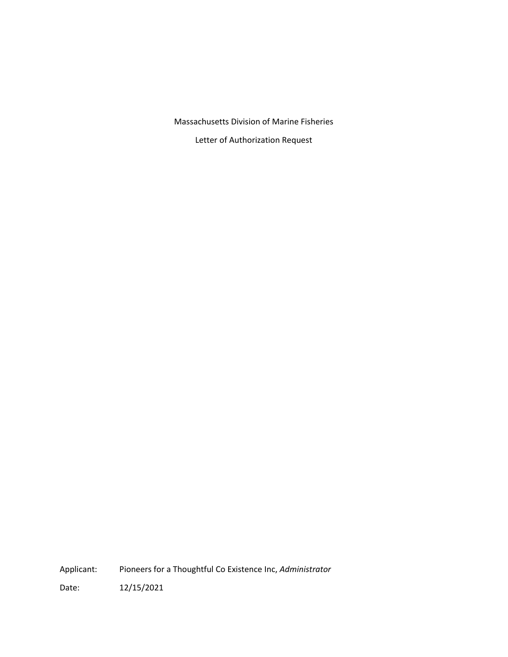Massachusetts Division of Marine Fisheries

Letter of Authorization Request

Applicant: Pioneers for a Thoughtful Co Existence Inc, *Administrator*

Date: 12/15/2021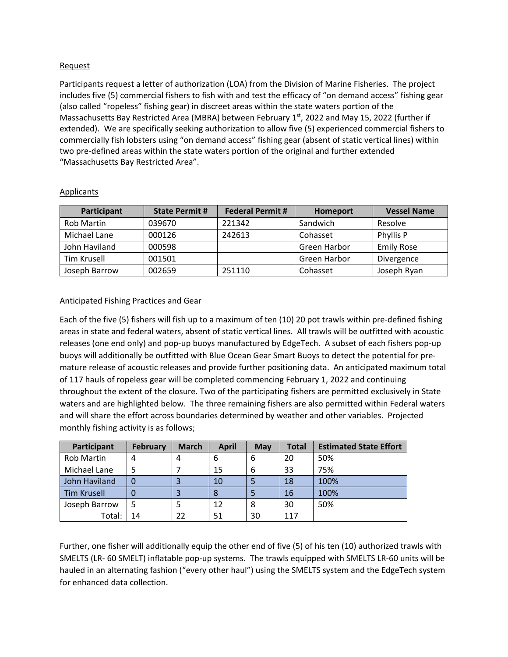## Request

Participants request a letter of authorization (LOA) from the Division of Marine Fisheries. The project includes five (5) commercial fishers to fish with and test the efficacy of "on demand access" fishing gear (also called "ropeless" fishing gear) in discreet areas within the state waters portion of the Massachusetts Bay Restricted Area (MBRA) between February 1st, 2022 and May 15, 2022 (further if extended). We are specifically seeking authorization to allow five (5) experienced commercial fishers to commercially fish lobsters using "on demand access" fishing gear (absent of static vertical lines) within two pre-defined areas within the state waters portion of the original and further extended "Massachusetts Bay Restricted Area".

| Participant   | <b>State Permit #</b> | <b>Federal Permit #</b> | Homeport     | <b>Vessel Name</b> |
|---------------|-----------------------|-------------------------|--------------|--------------------|
| Rob Martin    | 039670                | 221342                  | Sandwich     | Resolve            |
| Michael Lane  | 000126                | 242613                  | Cohasset     | Phyllis P          |
| John Haviland | 000598                |                         | Green Harbor | <b>Emily Rose</b>  |
| Tim Krusell   | 001501                |                         | Green Harbor | Divergence         |
| Joseph Barrow | 002659                | 251110                  | Cohasset     | Joseph Ryan        |

## Applicants

# Anticipated Fishing Practices and Gear

Each of the five (5) fishers will fish up to a maximum of ten (10) 20 pot trawls within pre-defined fishing areas in state and federal waters, absent of static vertical lines. All trawls will be outfitted with acoustic releases (one end only) and pop-up buoys manufactured by EdgeTech. A subset of each fishers pop-up buoys will additionally be outfitted with Blue Ocean Gear Smart Buoys to detect the potential for premature release of acoustic releases and provide further positioning data. An anticipated maximum total of 117 hauls of ropeless gear will be completed commencing February 1, 2022 and continuing throughout the extent of the closure. Two of the participating fishers are permitted exclusively in State waters and are highlighted below. The three remaining fishers are also permitted within Federal waters and will share the effort across boundaries determined by weather and other variables. Projected monthly fishing activity is as follows;

| Participant        | <b>February</b> | <b>March</b> | <b>April</b> | May | <b>Total</b> | <b>Estimated State Effort</b> |
|--------------------|-----------------|--------------|--------------|-----|--------------|-------------------------------|
| <b>Rob Martin</b>  |                 | 4            | 6            | 6   | 20           | 50%                           |
| Michael Lane       |                 |              | 15           | 6   | 33           | 75%                           |
| John Haviland      |                 |              | 10           |     | 18           | 100%                          |
| <b>Tim Krusell</b> |                 |              |              |     | 16           | 100%                          |
| Joseph Barrow      |                 |              | 12           | 8   | 30           | 50%                           |
| Total:             | 14              | 22           | 51           | 30  | 117          |                               |

Further, one fisher will additionally equip the other end of five (5) of his ten (10) authorized trawls with SMELTS (LR- 60 SMELT) inflatable pop-up systems. The trawls equipped with SMELTS LR-60 units will be hauled in an alternating fashion ("every other haul") using the SMELTS system and the EdgeTech system for enhanced data collection.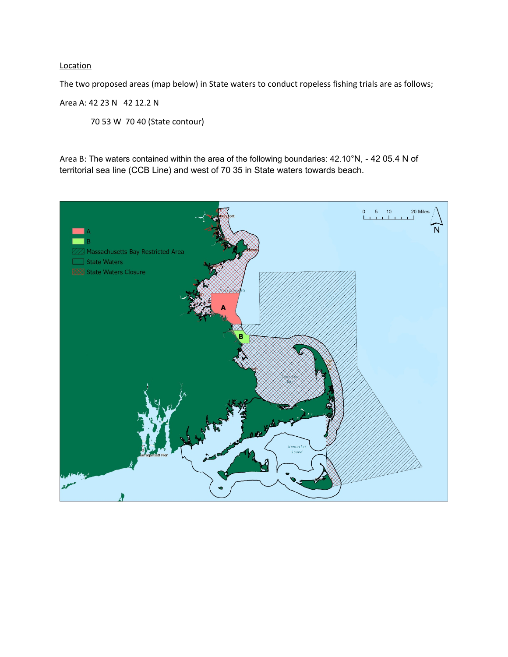## **Location**

The two proposed areas (map below) in State waters to conduct ropeless fishing trials are as follows;

# Area A: 42 23 N 42 12.2 N

70 53 W 70 40 (State contour)

Area B: The waters contained within the area of the following boundaries: 42.10°N, - 42 05.4 N of territorial sea line (CCB Line) and west of 70 35 in State waters towards beach.

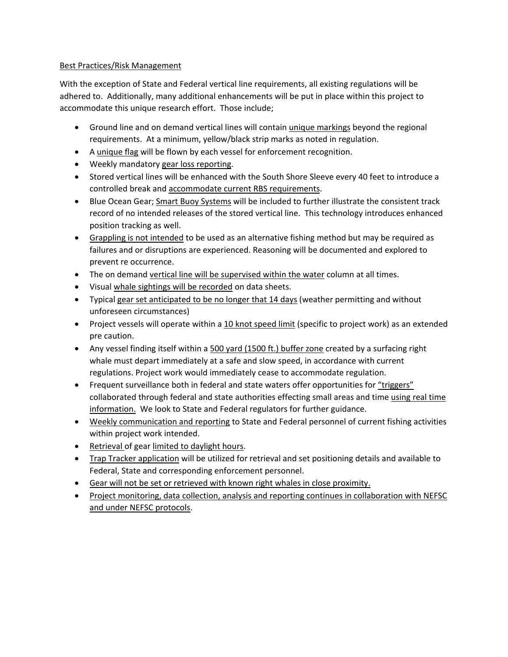## Best Practices/Risk Management

With the exception of State and Federal vertical line requirements, all existing regulations will be adhered to. Additionally, many additional enhancements will be put in place within this project to accommodate this unique research effort. Those include;

- Ground line and on demand vertical lines will contain unique markings beyond the regional requirements. At a minimum, yellow/black strip marks as noted in regulation.
- A unique flag will be flown by each vessel for enforcement recognition.
- Weekly mandatory gear loss reporting.
- Stored vertical lines will be enhanced with the South Shore Sleeve every 40 feet to introduce a controlled break and accommodate current RBS requirements.
- Blue Ocean Gear; Smart Buoy Systems will be included to further illustrate the consistent track record of no intended releases of the stored vertical line. This technology introduces enhanced position tracking as well.
- Grappling is not intended to be used as an alternative fishing method but may be required as failures and or disruptions are experienced. Reasoning will be documented and explored to prevent re occurrence.
- The on demand vertical line will be supervised within the water column at all times.
- Visual whale sightings will be recorded on data sheets.
- Typical gear set anticipated to be no longer that 14 days (weather permitting and without unforeseen circumstances)
- Project vessels will operate within a 10 knot speed limit (specific to project work) as an extended pre caution.
- Any vessel finding itself within a 500 yard (1500 ft.) buffer zone created by a surfacing right whale must depart immediately at a safe and slow speed, in accordance with current regulations. Project work would immediately cease to accommodate regulation.
- Frequent surveillance both in federal and state waters offer opportunities for "triggers" collaborated through federal and state authorities effecting small areas and time using real time information. We look to State and Federal regulators for further guidance.
- Weekly communication and reporting to State and Federal personnel of current fishing activities within project work intended.
- Retrieval of gear limited to daylight hours.
- Trap Tracker application will be utilized for retrieval and set positioning details and available to Federal, State and corresponding enforcement personnel.
- Gear will not be set or retrieved with known right whales in close proximity.
- Project monitoring, data collection, analysis and reporting continues in collaboration with NEFSC and under NEFSC protocols.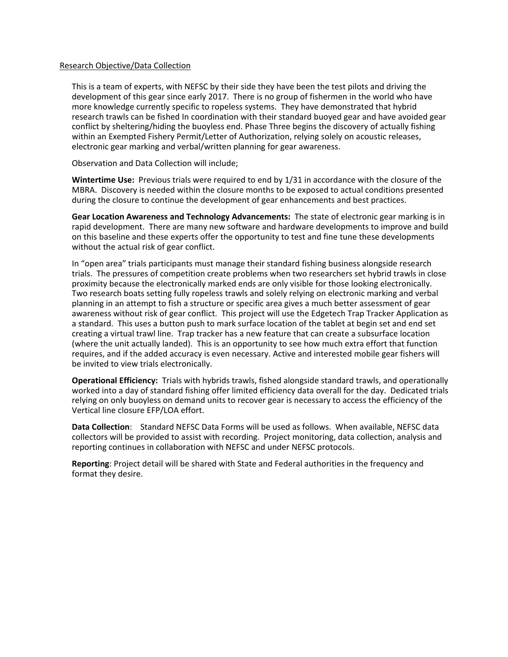#### Research Objective/Data Collection

This is a team of experts, with NEFSC by their side they have been the test pilots and driving the development of this gear since early 2017. There is no group of fishermen in the world who have more knowledge currently specific to ropeless systems. They have demonstrated that hybrid research trawls can be fished In coordination with their standard buoyed gear and have avoided gear conflict by sheltering/hiding the buoyless end. Phase Three begins the discovery of actually fishing within an Exempted Fishery Permit/Letter of Authorization, relying solely on acoustic releases, electronic gear marking and verbal/written planning for gear awareness.

Observation and Data Collection will include;

**Wintertime Use:** Previous trials were required to end by 1/31 in accordance with the closure of the MBRA. Discovery is needed within the closure months to be exposed to actual conditions presented during the closure to continue the development of gear enhancements and best practices.

**Gear Location Awareness and Technology Advancements:** The state of electronic gear marking is in rapid development. There are many new software and hardware developments to improve and build on this baseline and these experts offer the opportunity to test and fine tune these developments without the actual risk of gear conflict.

In "open area" trials participants must manage their standard fishing business alongside research trials. The pressures of competition create problems when two researchers set hybrid trawls in close proximity because the electronically marked ends are only visible for those looking electronically. Two research boats setting fully ropeless trawls and solely relying on electronic marking and verbal planning in an attempt to fish a structure or specific area gives a much better assessment of gear awareness without risk of gear conflict. This project will use the Edgetech Trap Tracker Application as a standard. This uses a button push to mark surface location of the tablet at begin set and end set creating a virtual trawl line. Trap tracker has a new feature that can create a subsurface location (where the unit actually landed). This is an opportunity to see how much extra effort that function requires, and if the added accuracy is even necessary. Active and interested mobile gear fishers will be invited to view trials electronically.

**Operational Efficiency:** Trials with hybrids trawls, fished alongside standard trawls, and operationally worked into a day of standard fishing offer limited efficiency data overall for the day. Dedicated trials relying on only buoyless on demand units to recover gear is necessary to access the efficiency of the Vertical line closure EFP/LOA effort.

**Data Collection**: Standard NEFSC Data Forms will be used as follows. When available, NEFSC data collectors will be provided to assist with recording. Project monitoring, data collection, analysis and reporting continues in collaboration with NEFSC and under NEFSC protocols.

**Reporting**: Project detail will be shared with State and Federal authorities in the frequency and format they desire.